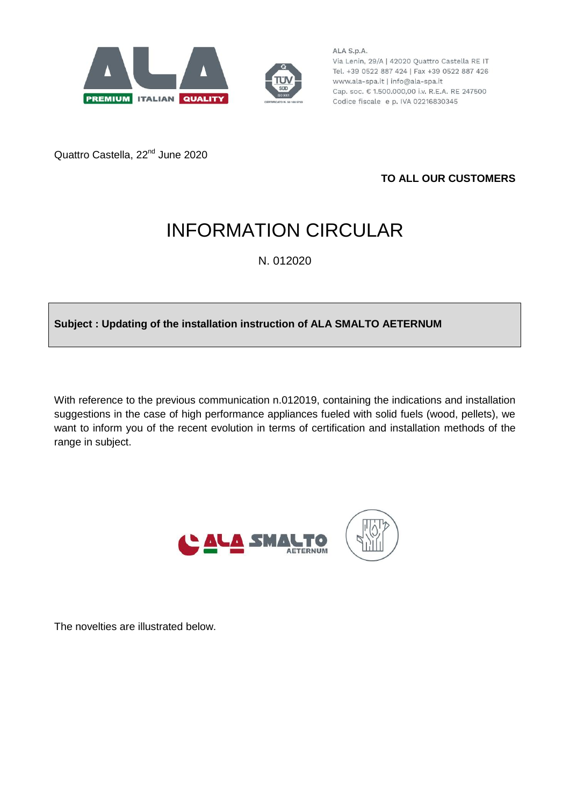



ALA S.p.A. Via Lenin, 29/A | 42020 Quattro Castella RE IT Tel. +39 0522 887 424 | Fax +39 0522 887 426 www.ala-spa.it | info@ala-spa.it Cap. soc. € 1.500.000,00 i.v. R.E.A. RE 247500 Codice fiscale e p. IVA 02216830345

Quattro Castella, 22<sup>nd</sup> June 2020

**TO ALL OUR CUSTOMERS**

# INFORMATION CIRCULAR

N. 012020

## **Subject : Updating of the installation instruction of ALA SMALTO AETERNUM**

With reference to the previous communication n.012019, containing the indications and installation suggestions in the case of high performance appliances fueled with solid fuels (wood, pellets), we want to inform you of the recent evolution in terms of certification and installation methods of the range in subject.



The novelties are illustrated below.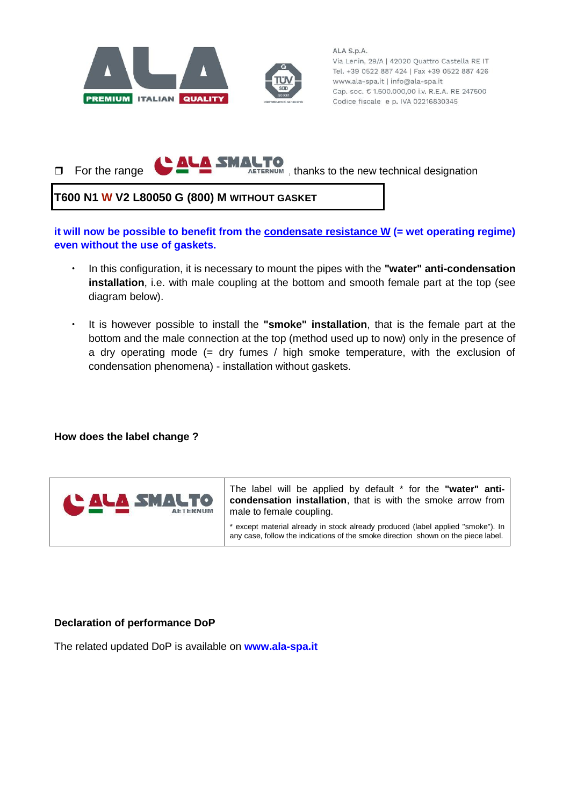

ALA S.p.A. Via Lenin, 29/A | 42020 Quattro Castella RE IT Tel. +39 0522 887 424 | Fax +39 0522 887 426 www.ala-spa.it | info@ala-spa.it Cap. soc. € 1.500.000,00 i.v. R.E.A. RE 247500 Codice fiscale e p. IVA 02216830345

 $\Box$  For the range  $\bigcirc$   $\triangle\bigcirc$   $\Box$   $\Box$   $\Box$   $\Box$   $\Box$  thanks to the new technical designation

### **T600 N1 W V2 L80050 G (800) M WITHOUT GASKET**

**it will now be possible to benefit from the condensate resistance W (= wet operating regime) even without the use of gaskets.**

- In this configuration, it is necessary to mount the pipes with the **"water" anti-condensation installation**, i.e. with male coupling at the bottom and smooth female part at the top (see diagram below).
- It is however possible to install the **"smoke" installation**, that is the female part at the bottom and the male connection at the top (method used up to now) only in the presence of a dry operating mode (= dry fumes / high smoke temperature, with the exclusion of condensation phenomena) - installation without gaskets.

#### **How does the label change ?**



The label will be applied by default \* for the **"water" anticondensation installation**, that is with the smoke arrow from male to female coupling.

\* except material already in stock already produced (label applied "smoke"). In any case, follow the indications of the smoke direction shown on the piece label.

#### **Declaration of performance DoP**

The related updated DoP is available on **www.ala-spa.it**